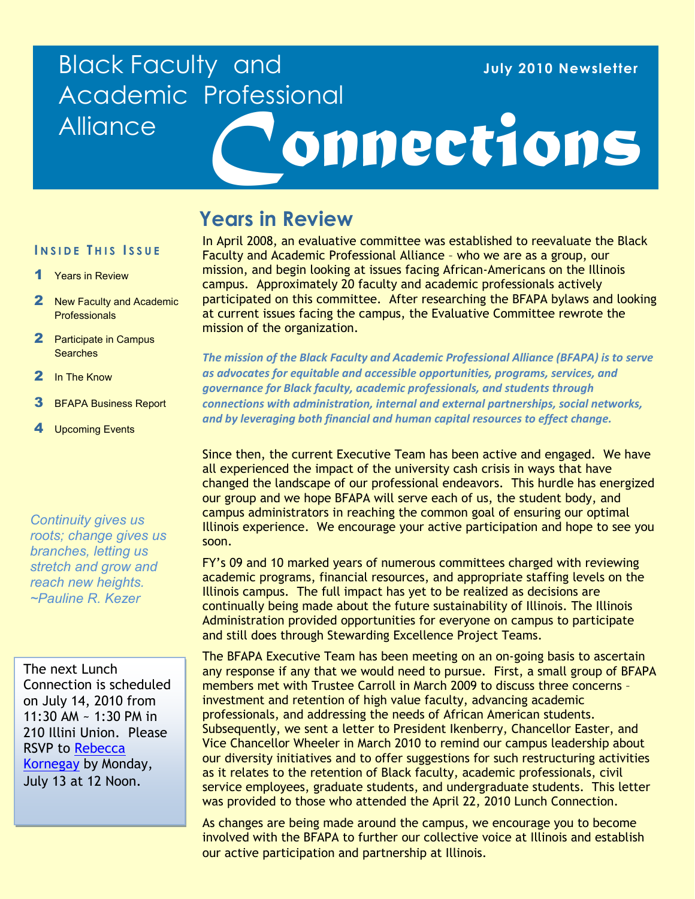## Black Faculty and Academic Professional **Alliance**

#### **July 2010 Newsletter**

# *Connections*

## **Years in Review**

**I NSIDE T HIS I SSUE**

- 1 Years in Review
- 2 New Faculty and Academic **Professionals**
- 2 Participate in Campus Searches
- 2 In The Know
- **3** BFAPA Business Report
- **Upcoming Events**

*Continuity gives us roots; change gives us branches, letting us stretch and grow and reach new heights. ~Pauline R. Kezer*

The next Lunch Connection is scheduled on July 14, 2010 from 11:30 AM ~ 1:30 PM in 210 Illini Union. Please RSVP to [Rebecca](mailto:kornegay@uillinois.edu?subject=July%20Lunch%20Connection%20RSVP)  [Kornegay](mailto:kornegay@uillinois.edu?subject=July%20Lunch%20Connection%20RSVP) by Monday, July 13 at 12 Noon.

In April 2008, an evaluative committee was established to reevaluate the Black Faculty and Academic Professional Alliance – who we are as a group, our mission, and begin looking at issues facing African-Americans on the Illinois campus. Approximately 20 faculty and academic professionals actively participated on this committee. After researching the BFAPA bylaws and looking at current issues facing the campus, the Evaluative Committee rewrote the mission of the organization.

*The mission of the Black Faculty and Academic Professional Alliance (BFAPA) is to serve as advocates for equitable and accessible opportunities, programs, services, and governance for Black faculty, academic professionals, and students through connections with administration, internal and external partnerships, social networks, and by leveraging both financial and human capital resources to effect change.* 

Since then, the current Executive Team has been active and engaged. We have all experienced the impact of the university cash crisis in ways that have changed the landscape of our professional endeavors. This hurdle has energized our group and we hope BFAPA will serve each of us, the student body, and campus administrators in reaching the common goal of ensuring our optimal Illinois experience. We encourage your active participation and hope to see you soon.

FY's 09 and 10 marked years of numerous committees charged with reviewing academic programs, financial resources, and appropriate staffing levels on the Illinois campus. The full impact has yet to be realized as decisions are continually being made about the future sustainability of Illinois. The Illinois Administration provided opportunities for everyone on campus to participate and still does through Stewarding Excellence Project Teams.

The BFAPA Executive Team has been meeting on an on-going basis to ascertain any response if any that we would need to pursue. First, a small group of BFAPA members met with Trustee Carroll in March 2009 to discuss three concerns – investment and retention of high value faculty, advancing academic professionals, and addressing the needs of African American students. Subsequently, we sent a letter to President Ikenberry, Chancellor Easter, and Vice Chancellor Wheeler in March 2010 to remind our campus leadership about our diversity initiatives and to offer suggestions for such restructuring activities as it relates to the retention of Black faculty, academic professionals, civil service employees, graduate students, and undergraduate students. This letter was provided to those who attended the April 22, 2010 Lunch Connection.

As changes are being made around the campus, we encourage you to become involved with the BFAPA to further our collective voice at Illinois and establish our active participation and partnership at Illinois.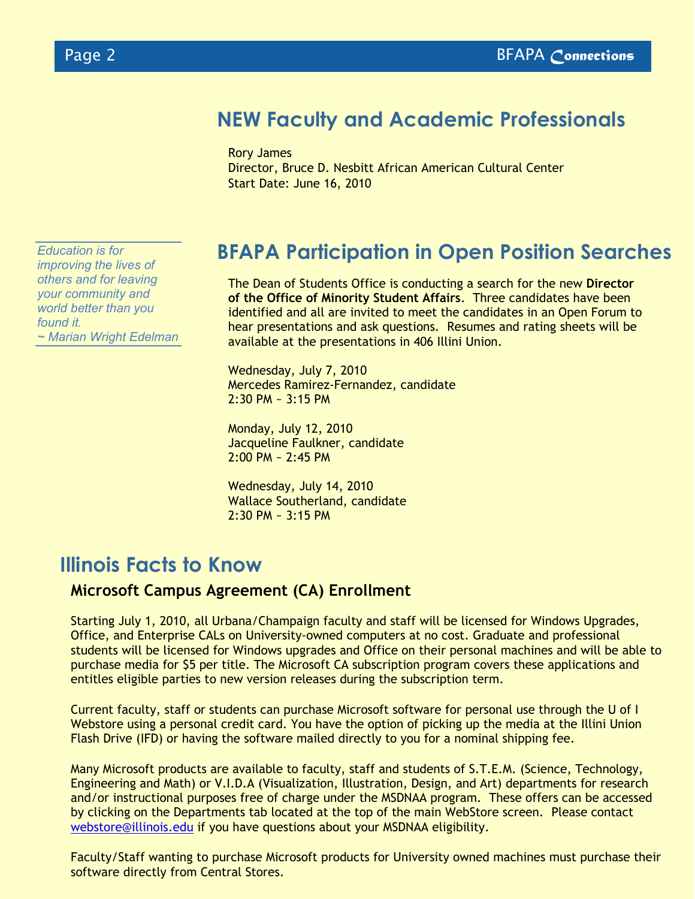## **NEW Faculty and Academic Professionals**

Rory James

Director, Bruce D. Nesbitt African American Cultural Center Start Date: June 16, 2010

**BFAPA Participation in Open Position Searches**

The Dean of Students Office is conducting a search for the new **Director of the Office of Minority Student Affairs**. Three candidates have been identified and all are invited to meet the candidates in an Open Forum to hear presentations and ask questions. Resumes and rating sheets will be available at the presentations in 406 Illini Union.

Wednesday, July 7, 2010 Mercedes Ramirez-Fernandez, candidate  $2:30$  PM  $\sim$  3:15 PM

Monday, July 12, 2010 Jacqueline Faulkner, candidate 2:00 PM ~ 2:45 PM

Wednesday, July 14, 2010 Wallace Southerland, candidate 2:30 PM ~ 3:15 PM

## **Illinois Facts to Know**

#### **Microsoft Campus Agreement (CA) Enrollment**

Starting July 1, 2010, all Urbana/Champaign faculty and staff will be licensed for Windows Upgrades, Office, and Enterprise CALs on University-owned computers at no cost. Graduate and professional students will be licensed for Windows upgrades and Office on their personal machines and will be able to purchase media for \$5 per title. The Microsoft CA subscription program covers these applications and entitles eligible parties to new version releases during the subscription term.

Current faculty, staff or students can purchase Microsoft software for personal use through the U of I Webstore using a personal credit card. You have the option of picking up the media at the Illini Union Flash Drive (IFD) or having the software mailed directly to you for a nominal shipping fee.

Many Microsoft products are available to faculty, staff and students of S.T.E.M. (Science, Technology, Engineering and Math) or V.I.D.A (Visualization, Illustration, Design, and Art) departments for research and/or instructional purposes free of charge under the MSDNAA program. These offers can be accessed by clicking on the Departments tab located at the top of the main WebStore screen. Please contact [webstore@illinois.edu](mailto:webstore@illinois.edu) if you have questions about your MSDNAA eligibility.

Faculty/Staff wanting to purchase Microsoft products for University owned machines must purchase their software directly from Central Stores.

*Education is for improving the lives of others and for leaving your community and world better than you found it. ~ Marian Wright Edelman*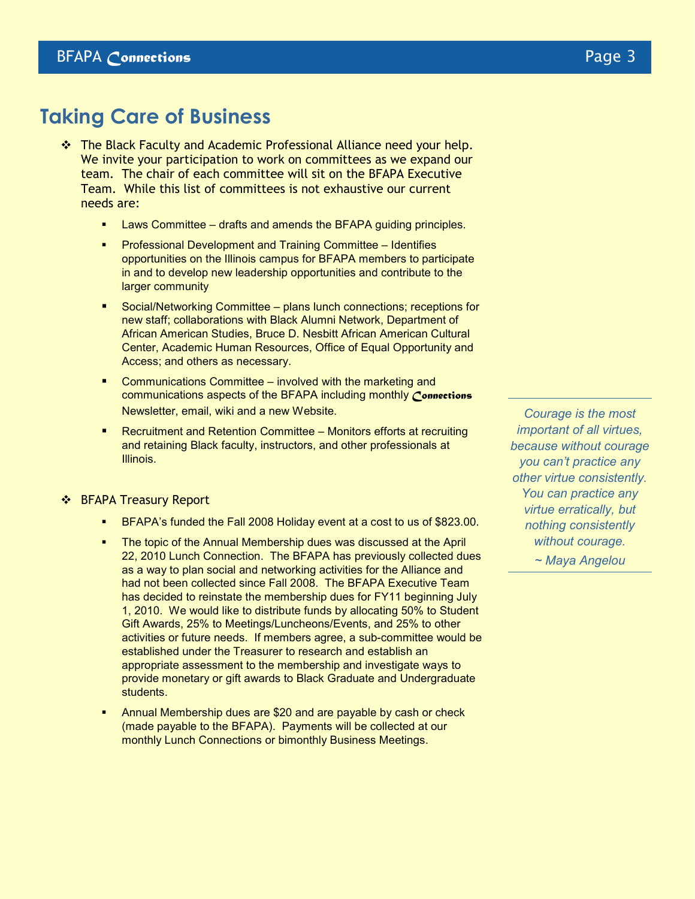## **Taking Care of Business**

- The Black Faculty and Academic Professional Alliance need your help. We invite your participation to work on committees as we expand our team. The chair of each committee will sit on the BFAPA Executive Team. While this list of committees is not exhaustive our current needs are:
	- Laws Committee drafts and amends the BFAPA guiding principles.
	- Professional Development and Training Committee Identifies opportunities on the Illinois campus for BFAPA members to participate in and to develop new leadership opportunities and contribute to the larger community
	- Social/Networking Committee plans lunch connections; receptions for new staff; collaborations with Black Alumni Network, Department of African American Studies, Bruce D. Nesbitt African American Cultural Center, Academic Human Resources, Office of Equal Opportunity and Access; and others as necessary.
	- Communications Committee involved with the marketing and communications aspects of the BFAPA including monthly *Connections* Newsletter, email, wiki and a new Website.
	- Recruitment and Retention Committee Monitors efforts at recruiting and retaining Black faculty, instructors, and other professionals at Illinois.

#### ❖ BFAPA Treasury Report

- BFAPA's funded the Fall 2008 Holiday event at a cost to us of \$823.00.
- The topic of the Annual Membership dues was discussed at the April 22, 2010 Lunch Connection. The BFAPA has previously collected dues as a way to plan social and networking activities for the Alliance and had not been collected since Fall 2008. The BFAPA Executive Team has decided to reinstate the membership dues for FY11 beginning July 1, 2010. We would like to distribute funds by allocating 50% to Student Gift Awards, 25% to Meetings/Luncheons/Events, and 25% to other activities or future needs. If members agree, a sub-committee would be established under the Treasurer to research and establish an appropriate assessment to the membership and investigate ways to provide monetary or gift awards to Black Graduate and Undergraduate students.
- Annual Membership dues are \$20 and are payable by cash or check (made payable to the BFAPA). Payments will be collected at our monthly Lunch Connections or bimonthly Business Meetings.

*Courage is the most important of all virtues, because without courage you can't practice any other virtue consistently. You can practice any virtue erratically, but nothing consistently without courage. ~ Maya Angelou*